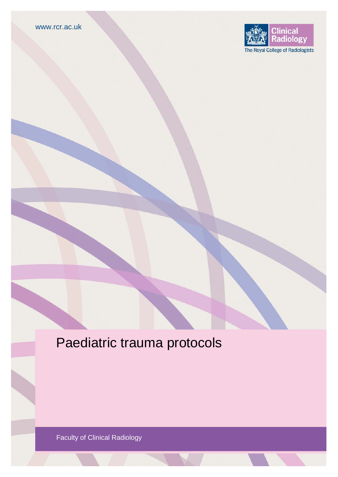

# Paediatric trauma protocols

Faculty of Clinical Radiology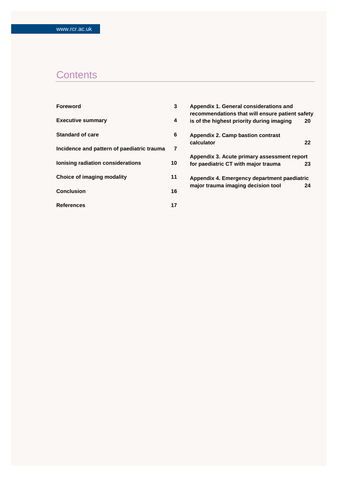## **Contents**

| <b>Foreword</b>                            | 3              | Appendix 1. General considerations and<br>recommendations that will ensure patient safety |    |
|--------------------------------------------|----------------|-------------------------------------------------------------------------------------------|----|
| <b>Executive summary</b>                   | 4              | is of the highest priority during imaging                                                 | 20 |
| <b>Standard of care</b>                    | 6              | Appendix 2. Camp bastion contrast<br>calculator                                           | 22 |
| Incidence and pattern of paediatric trauma | $\overline{7}$ |                                                                                           |    |
|                                            |                | Appendix 3. Acute primary assessment report                                               |    |
| <b>Ionising radiation considerations</b>   | 10             | for paediatric CT with major trauma                                                       | 23 |
| Choice of imaging modality                 | 11             | Appendix 4. Emergency department paediatric                                               |    |
| <b>Conclusion</b>                          | 16             | major trauma imaging decision tool                                                        | 24 |
| <b>References</b>                          | 17             |                                                                                           |    |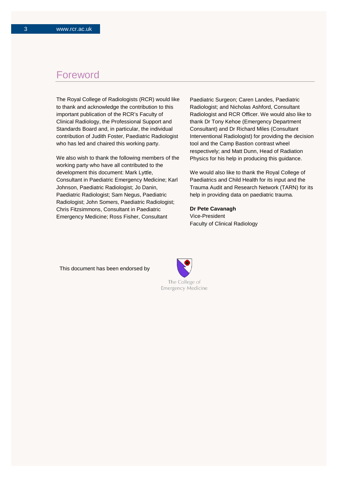### Foreword

The Royal College of Radiologists (RCR) would like to thank and acknowledge the contribution to this important publication of the RCR's Faculty of Clinical Radiology, the Professional Support and Standards Board and, in particular, the individual contribution of Judith Foster, Paediatric Radiologist who has led and chaired this working party.

We also wish to thank the following members of the working party who have all contributed to the development this document: Mark Lyttle, Consultant in Paediatric Emergency Medicine; Karl Johnson, Paediatric Radiologist; Jo Danin, Paediatric Radiologist; Sam Negus, Paediatric Radiologist; John Somers, Paediatric Radiologist; Chris Fitzsimmons, Consultant in Paediatric Emergency Medicine; Ross Fisher, Consultant

Paediatric Surgeon; Caren Landes, Paediatric Radiologist; and Nicholas Ashford, Consultant Radiologist and RCR Officer. We would also like to thank Dr Tony Kehoe (Emergency Department Consultant) and Dr Richard Miles (Consultant Interventional Radiologist) for providing the decision tool and the Camp Bastion contrast wheel respectively; and Matt Dunn, Head of Radiation Physics for his help in producing this guidance.

We would also like to thank the Royal College of Paediatrics and Child Health for its input and the Trauma Audit and Research Network (TARN) for its help in providing data on paediatric trauma.

**Dr Pete Cavanagh** Vice-President Faculty of Clinical Radiology

This document has been endorsed by

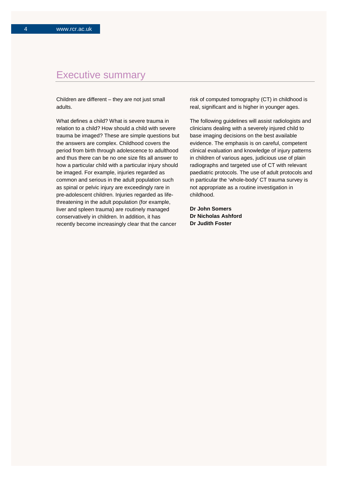### Executive summary

Children are different – they are not just small adults.

What defines a child? What is severe trauma in relation to a child? How should a child with severe trauma be imaged? These are simple questions but the answers are complex. Childhood covers the period from birth through adolescence to adulthood and thus there can be no one size fits all answer to how a particular child with a particular injury should be imaged. For example, injuries regarded as common and serious in the adult population such as spinal or pelvic injury are exceedingly rare in pre-adolescent children. Injuries regarded as lifethreatening in the adult population (for example, liver and spleen trauma) are routinely managed conservatively in children. In addition, it has recently become increasingly clear that the cancer

risk of computed tomography (CT) in childhood is real, significant and is higher in younger ages.

The following guidelines will assist radiologists and clinicians dealing with a severely injured child to base imaging decisions on the best available evidence. The emphasis is on careful, competent clinical evaluation and knowledge of injury patterns in children of various ages, judicious use of plain radiographs and targeted use of CT with relevant paediatric protocols. The use of adult protocols and in particular the 'whole-body' CT trauma survey is not appropriate as a routine investigation in childhood.

**Dr John Somers Dr Nicholas Ashford Dr Judith Foster**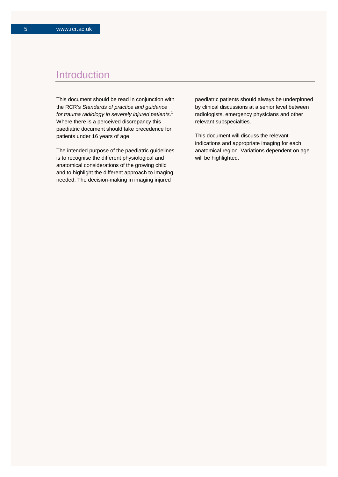### Introduction

This document should be read in conjunction with the RCR's *Standards of practice and guidance for trauma radiology in severely injured patients*. 1 Where there is a perceived discrepancy this paediatric document should take precedence for patients under 16 years of age.

The intended purpose of the paediatric guidelines is to recognise the different physiological and anatomical considerations of the growing child and to highlight the different approach to imaging needed. The decision-making in imaging injured

paediatric patients should always be underpinned by clinical discussions at a senior level between radiologists, emergency physicians and other relevant subspecialties.

This document will discuss the relevant indications and appropriate imaging for each anatomical region. Variations dependent on age will be highlighted.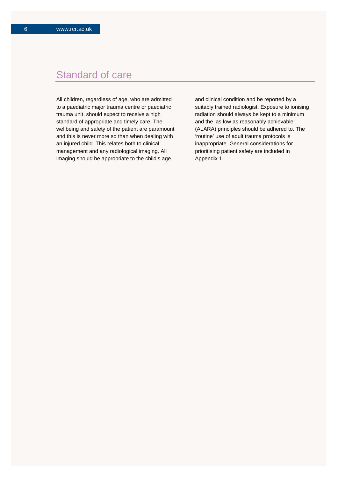### Standard of care

All children, regardless of age, who are admitted to a paediatric major trauma centre or paediatric trauma unit, should expect to receive a high standard of appropriate and timely care. The wellbeing and safety of the patient are paramount and this is never more so than when dealing with an injured child. This relates both to clinical management and any radiological imaging. All imaging should be appropriate to the child's age

and clinical condition and be reported by a suitably trained radiologist. Exposure to ionising radiation should always be kept to a minimum and the 'as low as reasonably achievable' (ALARA) principles should be adhered to. The 'routine' use of adult trauma protocols is inappropriate. General considerations for prioritising patient safety are included in Appendix 1.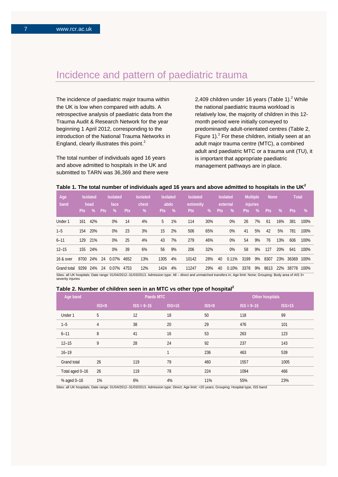## Incidence and pattern of paediatric trauma

The incidence of paediatric major trauma within the UK is low when compared with adults. A retrospective analysis of paediatric data from the Trauma Audit & Research Network for the year beginning 1 April 2012, corresponding to the introduction of the National Trauma Networks in England, clearly illustrates this point.<sup>2</sup>

The total number of individuals aged 16 years and above admitted to hospitals in the UK and submitted to TARN was 36,369 and there were 2,409 children under 16 years (Table 1). $2$  While the national paediatric trauma workload is relatively low, the majority of children in this 12 month period were initially conveyed to predominantly adult-orientated centres (Table 2, Figure 1). $<sup>2</sup>$  For these children, initially seen at an</sup> adult major trauma centre (MTC), a combined adult and paediatric MTC or a trauma unit (TU), it is important that appropriate paediatric management pathways are in place.

|  | Table 1. The total number of individuals aged 16 years and above admitted to hospitals in the UK $^{\mathsf{2}}$ |
|--|------------------------------------------------------------------------------------------------------------------|
|--|------------------------------------------------------------------------------------------------------------------|

| Age<br>band |      | <b>Isolated</b><br>head |            | <b>Isolated</b><br>face |            | <b>Isolated</b><br>chest | <b>Isolated</b><br>abdo |      | <b>Isolated</b><br>extremity |     |            | <b>Isolated</b><br>external | injuries | Multiple | <b>None</b> |      | <b>Total</b> |      |
|-------------|------|-------------------------|------------|-------------------------|------------|--------------------------|-------------------------|------|------------------------------|-----|------------|-----------------------------|----------|----------|-------------|------|--------------|------|
|             | Pts: | $\%$                    | <b>Pts</b> | %                       | <b>Pts</b> | %                        | Pts:                    | $\%$ | <b>Pts</b>                   | %   | <b>Pts</b> | %                           | Pts:     | %        | <b>Pts</b>  | $\%$ | Pts.         | %    |
| Under 1     | 161  | 42%                     |            | $0\%$                   | 14         | 4%                       | 5                       | 1%   | 114                          | 30% |            | $0\%$                       | 26       | 7%       | 61          | 16%  | 381          | 100% |
| $1 - 5$     |      | 154 20%                 |            | $0\%$                   | 23         | 3%                       | 15                      | 2%   | 506                          | 65% |            | $0\%$                       | 41       | 5%       | 42          | 5%   | 781          | 100% |
| $6 - 11$    | 129  | 21%                     |            | $0\%$                   | 25         | 4%                       | 43                      | 7%   | 279                          | 46% |            | $0\%$                       | 54       | 9%       | 76          | 13%  | 606          | 100% |
| $12 - 15$   |      | 155 24%                 |            | $0\%$                   | 39         | 6%                       | 56                      | 9%   | 206                          | 32% |            | $0\%$                       | 58       | 9%       | 127         | 20%  | 641          | 100% |
| 16 & over   | 8700 | 24%                     | 24         | $0.07\%$ 4652           |            | 13%                      | 1305                    | 4%   | 10142                        | 28% | 40         | 0.11%                       | 3199     | 9%       | 8307        | 23%  | 36369        | 100% |
| Grand total | 9299 | 24%                     | 24         | 0.07%                   | 4753       | 12%                      | 1424                    | 4%   | 11247                        | 29% | 40         | 0.10%                       | 3378     | 9%       | 8613        | 22%  | 38778        | 100% |

Sites: all UK hospitals; Date range: 01/04/2012-31/03/2013. Admission type: All - direct and unmatched transfers in; Age limit: None; Grouping: Body area of AIS 3+ severity injuries

#### **Table 2. Number of children seen in an MTC vs other type of hospital<sup>2</sup>**

| Age band        |       | Paeds MTC             |        |       | Other hospitals |                  |  |  |  |
|-----------------|-------|-----------------------|--------|-------|-----------------|------------------|--|--|--|
|                 | ISS<9 | $\text{ISS} = 9 - 15$ | ISS>15 | ISS<9 | $ISS = 9-15$    | <b>ISS&gt;15</b> |  |  |  |
| Under 1         | 5     | 12                    | 18     | 50    | 118             | 99               |  |  |  |
| $1 - 5$         | 4     | 38                    | 20     | 29    | 476             | 101              |  |  |  |
| $6 - 11$        | 8     | 41                    | 16     | 53    | 263             | 123              |  |  |  |
| $12 - 15$       | 9     | 28                    | 24     | 92    | 237             | 143              |  |  |  |
| $16 - 19$       |       |                       |        | 236   | 463             | 539              |  |  |  |
| Grand total     | 26    | 119                   | 79     | 460   | 1557            | 1005             |  |  |  |
| Total aged 0-16 | 26    | 119                   | 78     | 224   | 1094            | 466              |  |  |  |
| % aged 0-16     | 1%    | 6%                    | 4%     | 11%   | 55%             | 23%              |  |  |  |

Sites: all UK hospitals; Date range: 01/04/2012–31/03/2013. Admission type: Direct; Age limit: <20 years; Grouping: Hospital type, ISS band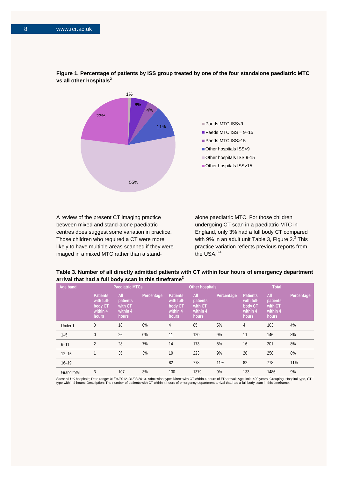

**Figure 1. Percentage of patients by ISS group treated by one of the four standalone paediatric MTC vs all other hospitals<sup>2</sup>**

A review of the present CT imaging practice between mixed and stand-alone paediatric centres does suggest some variation in practice. Those children who required a CT were more likely to have multiple areas scanned if they were imaged in a mixed MTC rather than a stand-

alone paediatric MTC. For those children undergoing CT scan in a paediatric MTC in England, only 3% had a full body CT compared with 9% in an adult unit Table 3, Figure  $2.<sup>2</sup>$  This practice variation reflects previous reports from the USA.<sup>3,4</sup>

**Table 3. Number of all directly admitted patients with CT within four hours of emergency department arrival that had a full body scan in this timeframe<sup>2</sup>**

| Age band    | <b>Paediatric MTCs</b>                                        |                                                 |            |                                                               | Other hospitals                                 |            | <b>Total</b>                                                  |                                                 |            |
|-------------|---------------------------------------------------------------|-------------------------------------------------|------------|---------------------------------------------------------------|-------------------------------------------------|------------|---------------------------------------------------------------|-------------------------------------------------|------------|
|             | <b>Patients</b><br>with full-<br>body CT<br>within 4<br>hours | All<br>patients<br>with CT<br>within 4<br>hours | Percentage | <b>Patients</b><br>with full-<br>body CT<br>within 4<br>hours | All<br>patients<br>with CT<br>within 4<br>hours | Percentage | <b>Patients</b><br>with full-<br>body CT<br>within 4<br>hours | All<br>patients<br>with CT<br>within 4<br>hours | Percentage |
| Under 1     | 0                                                             | 18                                              | 0%         | 4                                                             | 85                                              | 5%         | 4                                                             | 103                                             | 4%         |
| $1 - 5$     | 0                                                             | 26                                              | 0%         | 11                                                            | 120                                             | 9%         | 11                                                            | 146                                             | 8%         |
| $6 - 11$    | $\overline{2}$                                                | 28                                              | 7%         | 14                                                            | 173                                             | 8%         | 16                                                            | 201                                             | 8%         |
| $12 - 15$   |                                                               | 35                                              | 3%         | 19                                                            | 223                                             | 9%         | 20                                                            | 258                                             | 8%         |
| $16 - 19$   |                                                               |                                                 |            | 82                                                            | 778                                             | 11%        | 82                                                            | 778                                             | 11%        |
| Grand total | 3                                                             | 107                                             | 3%         | 130                                                           | 1379                                            | 9%         | 133                                                           | 1486                                            | 9%         |

Sites: all UK hospitals; Date range: 01/04/2012–31/03/2013. Admission type: Direct with CT within 4 hours of ED arrival; Age limit: <20 years; Grouping: Hospital type, CT<br>type within 4 hours; Description: The number of pat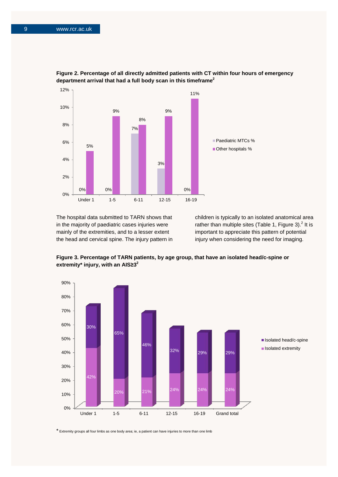



The hospital data submitted to TARN shows that in the majority of paediatric cases injuries were mainly of the extremities, and to a lesser extent the head and cervical spine. The injury pattern in children is typically to an isolated anatomical area rather than multiple sites (Table 1, Figure 3).<sup>2</sup> It is important to appreciate this pattern of potential injury when considering the need for imaging.



**Figure 3. Percentage of TARN patients, by age group, that have an isolated head/c-spine or extremity\* injury, with an AIS≥3<sup>2</sup>**

\* Extremity groups all four limbs as one body area; ie, a patient can have injuries to more than one limb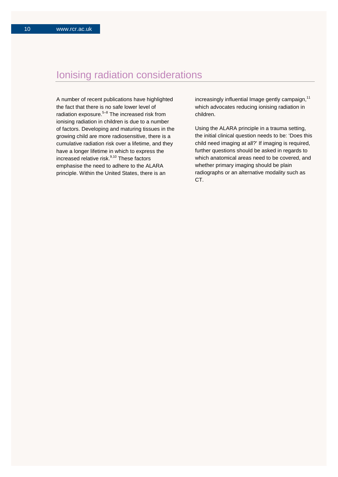## Ionising radiation considerations

A number of recent publications have highlighted the fact that there is no safe lower level of radiation exposure. $5-8$  The increased risk from ionising radiation in children is due to a number of factors. Developing and maturing tissues in the growing child are more radiosensitive, there is a cumulative radiation risk over a lifetime, and they have a longer lifetime in which to express the increased relative risk.<sup>9,10</sup> These factors emphasise the need to adhere to the ALARA principle. Within the United States, there is an

increasingly influential Image gently campaign, $11$ which advocates reducing ionising radiation in children.

Using the ALARA principle in a trauma setting, the initial clinical question needs to be: 'Does this child need imaging at all?' If imaging is required, further questions should be asked in regards to which anatomical areas need to be covered, and whether primary imaging should be plain radiographs or an alternative modality such as CT.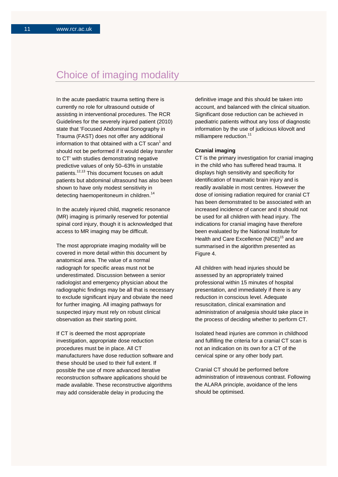### Choice of imaging modality

In the acute paediatric trauma setting there is currently no role for ultrasound outside of assisting in interventional procedures. The RCR Guidelines for the severely injured patient (2010) state that 'Focused Abdominal Sonography in Trauma (FAST) does not offer any additional information to that obtained with a CT scan $<sup>1</sup>$  and</sup> should not be performed if it would delay transfer to CT' with studies demonstrating negative predictive values of only 50–63% in unstable patients.12,13 This document focuses on adult patients but abdominal ultrasound has also been shown to have only modest sensitivity in detecting haemoperitoneum in children.<sup>14</sup>

In the acutely injured child, magnetic resonance (MR) imaging is primarily reserved for potential spinal cord injury, though it is acknowledged that access to MR imaging may be difficult.

The most appropriate imaging modality will be covered in more detail within this document by anatomical area. The value of a normal radiograph for specific areas must not be underestimated. Discussion between a senior radiologist and emergency physician about the radiographic findings may be all that is necessary to exclude significant injury and obviate the need for further imaging. All imaging pathways for suspected injury must rely on robust clinical observation as their starting point.

If CT is deemed the most appropriate investigation, appropriate dose reduction procedures must be in place. All CT manufacturers have dose reduction software and these should be used to their full extent. If possible the use of more advanced iterative reconstruction software applications should be made available. These reconstructive algorithms may add considerable delay in producing the

definitive image and this should be taken into account, and balanced with the clinical situation. Significant dose reduction can be achieved in paediatric patients without any loss of diagnostic information by the use of judicious kilovolt and milliampere reduction.<sup>11</sup>

#### **Cranial imaging**

CT is the primary investigation for cranial imaging in the child who has suffered head trauma. It displays high sensitivity and specificity for identification of traumatic brain injury and is readily available in most centres. However the dose of ionising radiation required for cranial CT has been demonstrated to be associated with an increased incidence of cancer and it should not be used for all children with head injury. The indications for cranial imaging have therefore been evaluated by the National Institute for Health and Care Excellence (NICE)<sup>15</sup> and are summarised in the algorithm presented as Figure 4.

All children with head injuries should be assessed by an appropriately trained professional within 15 minutes of hospital presentation, and immediately if there is any reduction in conscious level. Adequate resuscitation, clinical examination and administration of analgesia should take place in the process of deciding whether to perform CT.

Isolated head injuries are common in childhood and fulfilling the criteria for a cranial CT scan is not an indication on its own for a CT of the cervical spine or any other body part.

Cranial CT should be performed before administration of intravenous contrast. Following the ALARA principle, avoidance of the lens should be optimised.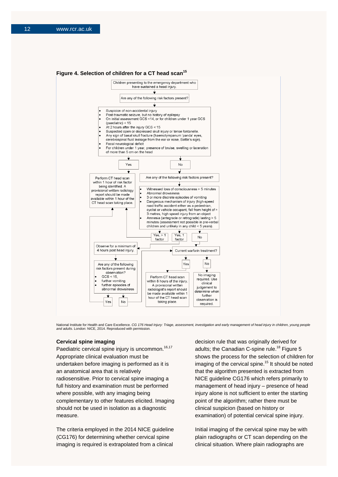#### Figure 4. Selection of children for a CT head scan<sup>15</sup>



National Institute for Health and Care Excellence. *CG 176 Head Injury: Triage, assessment, investigation and early management of head injury in children, young people and adults*. London: NICE, 2014. Reproduced with permission.

#### **Cervical spine imaging**

Paediatric cervical spine injury is uncommon.<sup>16,17</sup> Appropriate clinical evaluation must be undertaken before imaging is performed as it is an anatomical area that is relatively radiosensitive. Prior to cervical spine imaging a full history and examination must be performed where possible, with any imaging being complementary to other features elicited. Imaging should not be used in isolation as a diagnostic measure.

The criteria employed in the 2014 NICE guideline (CG176) for determining whether cervical spine imaging is required is extrapolated from a clinical

decision rule that was originally derived for adults; the Canadian C-spine rule.<sup>18</sup> Figure 5 shows the process for the selection of children for imaging of the cervical spine.<sup>15</sup> It should be noted that the algorithm presented is extracted from NICE guideline CG176 which refers primarily to management of head injury – presence of head injury alone is not sufficient to enter the starting point of the algorithm; rather there must be clinical suspicion (based on history or examination) of potential cervical spine injury.

Initial imaging of the cervical spine may be with plain radiographs or CT scan depending on the clinical situation. Where plain radiographs are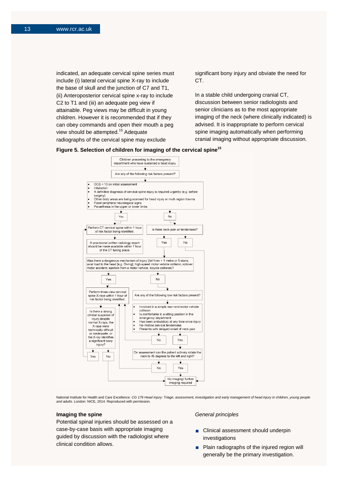indicated, an adequate cervical spine series must include (i) lateral cervical spine X-ray to include the base of skull and the junction of C7 and T1, (ii) Anteroposterior cervical spine x-ray to include C2 to T1 and (iii) an adequate peg view if attainable. Peg views may be difficult in young children. However it is recommended that if they can obey commands and open their mouth a peg view should be attempted.<sup>15</sup> Adequate radiographs of the cervical spine may exclude

significant bony injury and obviate the need for CT.

In a stable child undergoing cranial CT, discussion between senior radiologists and senior clinicians as to the most appropriate imaging of the neck (where clinically indicated) is advised. It is inappropriate to perform cervical spine imaging automatically when performing cranial imaging without appropriate discussion.





National Institute for Health and Care Excellence. CG 176 Head Injury: Triage, assessment, investigation and early management of head injury in children, young people *and adults*. London: NICE, 2014. Reproduced with permission.

#### **Imaging the spine**

Potential spinal injuries should be assessed on a case-by-case basis with appropriate imaging guided by discussion with the radiologist where clinical condition allows.

#### *General principles*

- Clinical assessment should underpin investigations
- **Plain radiographs of the injured region will** generally be the primary investigation.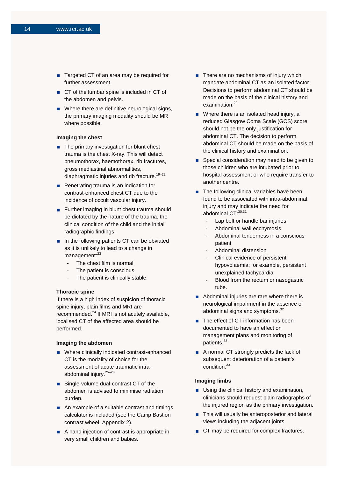- Targeted CT of an area may be required for further assessment.
- CT of the lumbar spine is included in CT of the abdomen and pelvis.
- **No** Where there are definitive neurological signs, the primary imaging modality should be MR where possible.

#### **Imaging the chest**

- $\blacksquare$  The primary investigation for blunt chest trauma is the chest X-ray. This will detect pneumothorax, haemothorax, rib fractures, gross mediastinal abnormalities, diaphragmatic injuries and rib fracture.<sup>19-22</sup>
- **Penetrating trauma is an indication for** contrast-enhanced chest CT due to the incidence of occult vascular injury.
- **Further imaging in blunt chest trauma should** be dictated by the nature of the trauma, the clinical condition of the child and the initial radiographic findings.
- In the following patients CT can be obviated as it is unlikely to lead to a change in  $mana$ gement: $^{23}$ 
	- The chest film is normal
	- The patient is conscious
	- The patient is clinically stable.

#### **Thoracic spine**

If there is a high index of suspicion of thoracic spine injury, plain films and MRI are recommended.<sup>24</sup> If MRI is not acutely available, localised CT of the affected area should be performed.

#### **Imaging the abdomen**

- Where clinically indicated contrast-enhanced CT is the modality of choice for the assessment of acute traumatic intraabdominal injury.25–28
- Single-volume dual-contrast CT of the abdomen is advised to minimise radiation burden.
- An example of a suitable contrast and timings calculator is included (see the Camp Bastion contrast wheel, Appendix 2).
- A hand injection of contrast is appropriate in very small children and babies.
- There are no mechanisms of injury which mandate abdominal CT as an isolated factor. Decisions to perform abdominal CT should be made on the basis of the clinical history and examination.<sup>29</sup>
- Where there is an isolated head injury, a reduced Glasgow Coma Scale (GCS) score should not be the only justification for abdominal CT. The decision to perform abdominal CT should be made on the basis of the clinical history and examination.
- Special consideration may need to be given to those children who are intubated prior to hospital assessment or who require transfer to another centre.
- $\blacksquare$  The following clinical variables have been found to be associated with intra-abdominal injury and may indicate the need for abdominal CT: 30,31
	- Lap belt or handle bar injuries
	- Abdominal wall ecchymosis
	- Abdominal tenderness in a conscious patient
	- Abdominal distension
	- Clinical evidence of persistent hypovolaemia; for example, persistent unexplained tachycardia
	- Blood from the rectum or nasogastric tube.
- Abdominal injuries are rare where there is neurological impairment in the absence of abdominal signs and symptoms.<sup>32</sup>
- The effect of CT information has been documented to have an effect on management plans and monitoring of patients.<sup>33</sup>
- A normal CT strongly predicts the lack of subsequent deterioration of a patient's condition.<sup>33</sup>

#### **Imaging limbs**

- **Using the clinical history and examination,** clinicians should request plain radiographs of the injured region as the primary investigation.
- This will usually be anteroposterior and lateral views including the adjacent joints.
- CT may be required for complex fractures.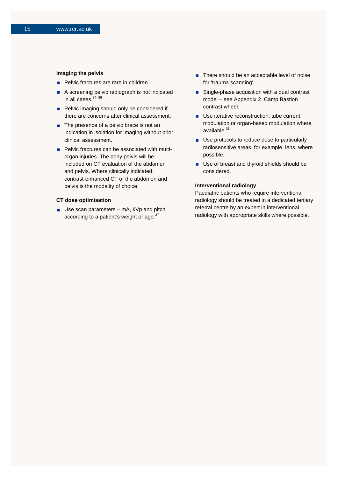#### **Imaging the pelvis**

- **Pelvic fractures are rare in children.**
- A screening pelvic radiograph is not indicated in all cases.<sup>34-36</sup>
- Pelvic imaging should only be considered if there are concerns after clinical assessment.
- The presence of a pelvic brace is not an indication in isolation for imaging without prior clinical assessment.
- **Pelvic fractures can be associated with multi**organ injuries. The bony pelvis will be included on CT evaluation of the abdomen and pelvis. Where clinically indicated, contrast-enhanced CT of the abdomen and pelvis is the modality of choice.

#### **CT dose optimisation**

 $\blacksquare$  Use scan parameters – mA, kVp and pitch according to a patient's weight or age.<sup>37</sup>

- There should be an acceptable level of noise for 'trauma scanning'.
- Single-phase acquisition with a dual contrast model – see Appendix 2. Camp Bastion contrast wheel.
- Use iterative reconstruction, tube current modulation or organ-based modulation where available.<sup>38</sup>
- Use protocols to reduce dose to particularly radiosensitive areas, for example, lens, where possible.
- **Use of breast and thyroid shields should be** considered.

#### **Interventional radiology**

Paediatric patients who require interventional radiology should be treated in a dedicated tertiary referral centre by an expert in interventional radiology with appropriate skills where possible.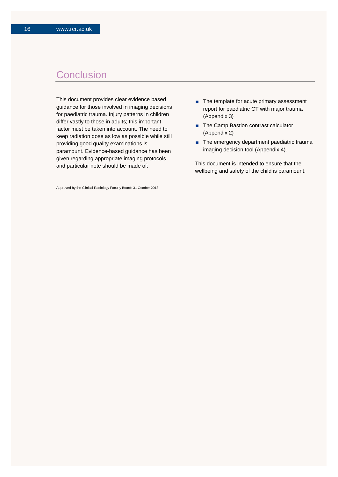### **Conclusion**

This document provides clear evidence based guidance for those involved in imaging decisions for paediatric trauma. Injury patterns in children differ vastly to those in adults; this important factor must be taken into account. The need to keep radiation dose as low as possible while still providing good quality examinations is paramount. Evidence-based guidance has been given regarding appropriate imaging protocols and particular note should be made of:

Approved by the Clinical Radiology Faculty Board: 31 October 2013

- The template for acute primary assessment report for paediatric CT with major trauma (Appendix 3)
- The Camp Bastion contrast calculator (Appendix 2)
- The emergency department paediatric trauma imaging decision tool (Appendix 4).

This document is intended to ensure that the wellbeing and safety of the child is paramount.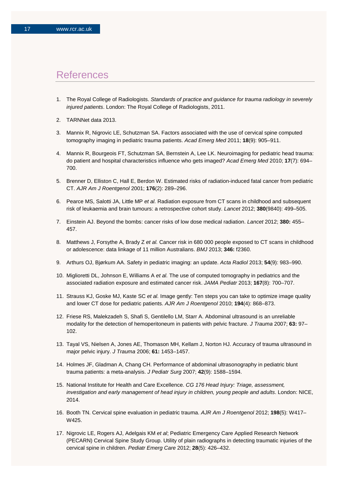### References

- 1. The Royal College of Radiologists. *Standards of practice and guidance for trauma radiology in severely injured patients*. London: The Royal College of Radiologists, 2011.
- 2. TARNNet data 2013.
- 3. Mannix R, Nigrovic LE, Schutzman SA. Factors associated with the use of cervical spine computed tomography imaging in pediatric trauma patients. *Acad Emerg Med* 2011; **18**(9): 905–911.
- 4. Mannix R, Bourgeois FT, Schutzman SA, Bernstein A, Lee LK. Neuroimaging for pediatric head trauma: do patient and hospital characteristics influence who gets imaged? *Acad Emerg Med* 2010; **17**(7): 694– 700.
- 5. Brenner D, Elliston C, Hall E, Berdon W. Estimated risks of radiation-induced fatal cancer from pediatric CT. *AJR Am J Roentgenol* 2001; **176**(2): 289–296.
- 6. Pearce MS, Salotti JA, Little MP *et al.* Radiation exposure from CT scans in childhood and subsequent risk of leukaemia and brain tumours: a retrospective cohort study. *Lancet* 2012; **380**(9840): 499–505.
- 7. Einstein AJ. Beyond the bombs: cancer risks of low dose medical radiation. *Lancet* 2012; **380:** 455– 457.
- 8. Matthews J, Forsythe A, Brady Z *et al.* Cancer risk in 680 000 people exposed to CT scans in childhood or adolescence: data linkage of 11 million Australians. *BMJ* 2013; **346:** f2360.
- 9. Arthurs OJ, Bjørkum AA. Safety in pediatric imaging: an update. *Acta Radiol* 2013; **54**(9): 983–990.
- 10. Miglioretti DL, Johnson E, Williams A *et al.* The use of computed tomography in pediatrics and the associated radiation exposure and estimated cancer risk. *JAMA Pediatr* 2013; **167**(8): 700–707.
- 11. Strauss KJ, Goske MJ, Kaste SC *et al.* Image gently: Ten steps you can take to optimize image quality and lower CT dose for pediatric patients. *AJR Am J Roentgenol* 2010; **194**(4): 868–873.
- 12. Friese RS, Malekzadeh S, Shafi S, Gentilello LM, Starr A. Abdominal ultrasound is an unreliable modality for the detection of hemoperitoneum in patients with pelvic fracture. *J Trauma* 2007; **63:** 97– 102.
- 13. Tayal VS, Nielsen A, Jones AE, Thomason MH, Kellam J, Norton HJ. Accuracy of trauma ultrasound in major pelvic injury. *J Trauma* 2006; **61:** 1453–1457.
- 14. Holmes JF, Gladman A, Chang CH. Performance of abdominal ultrasonography in pediatric blunt trauma patients: a meta-analysis. *J Pediatr Surg* 2007; **42**(9): 1588–1594.
- 15. National Institute for Health and Care Excellence. *CG 176 Head Injury: Triage, assessment, investigation and early management of head injury in children, young people and adults*. London: NICE, 2014.
- 16. Booth TN. Cervical spine evaluation in pediatric trauma. *AJR Am J Roentgenol* 2012; **198**(5): W417– W425.
- 17. Nigrovic LE, Rogers AJ, Adelgais KM *et al*; Pediatric Emergency Care Applied Research Network (PECARN) Cervical Spine Study Group. Utility of plain radiographs in detecting traumatic injuries of the cervical spine in children. *Pediatr Emerg Care* 2012; **28**(5): 426–432.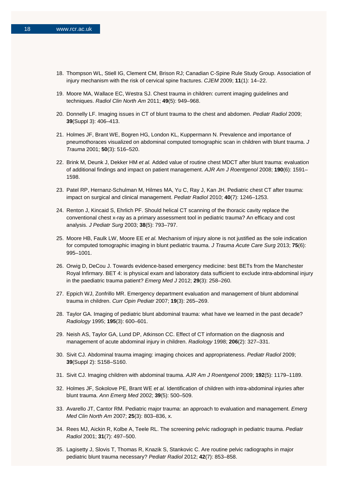- 18. Thompson WL, Stiell IG, Clement CM, Brison RJ; Canadian C-Spine Rule Study Group. Association of injury mechanism with the risk of cervical spine fractures. *CJEM* 2009; **11**(1): 14–22.
- 19. Moore MA, Wallace EC, Westra SJ. Chest trauma in children: current imaging guidelines and techniques. *Radiol Clin North Am* 2011; **49**(5): 949–968.
- 20. Donnelly LF. Imaging issues in CT of blunt trauma to the chest and abdomen. *Pediatr Radiol* 2009; **39**(Suppl 3): 406–413.
- 21. Holmes JF, Brant WE, Bogren HG, London KL, Kuppermann N. Prevalence and importance of pneumothoraces visualized on abdominal computed tomographic scan in children with blunt trauma. *J Trauma* 2001; **50**(3): 516–520.
- 22. Brink M, Deunk J, Dekker HM *et al.* Added value of routine chest MDCT after blunt trauma: evaluation of additional findings and impact on patient management. *AJR Am J Roentgenol* 2008; **190**(6): 1591– 1598.
- 23. Patel RP, Hernanz-Schulman M, Hilmes MA, Yu C, Ray J, Kan JH. Pediatric chest CT after trauma: impact on surgical and clinical management. *Pediatr Radiol* 2010; **40**(7): 1246–1253.
- 24. Renton J, Kincaid S, Ehrlich PF. Should helical CT scanning of the thoracic cavity replace the conventional chest x-ray as a primary assessment tool in pediatric trauma? An efficacy and cost analysis. *J Pediatr Surg* 2003; **38**(5): 793–797.
- 25. Moore HB, Faulk LW, Moore EE *et al.* Mechanism of injury alone is not justified as the sole indication for computed tomographic imaging in blunt pediatric trauma. *J Trauma Acute Care Surg* 2013; **75**(6): 995–1001.
- 26. Orwig D, DeCou J. Towards evidence-based emergency medicine: best BETs from the Manchester Royal Infirmary. BET 4: is physical exam and laboratory data sufficient to exclude intra-abdominal injury in the paediatric trauma patient? *Emerg Med J* 2012; **29**(3): 258–260.
- 27. Eppich WJ, Zonfrillo MR. Emergency department evaluation and management of blunt abdominal trauma in children. *Curr Opin Pediatr* 2007; **19**(3): 265–269.
- 28. Taylor GA. Imaging of pediatric blunt abdominal trauma: what have we learned in the past decade? *Radiology* 1995; **195**(3): 600–601.
- 29. Neish AS, Taylor GA, Lund DP, Atkinson CC. Effect of CT information on the diagnosis and management of acute abdominal injury in children. *Radiology* 1998; **206**(2): 327–331.
- 30. Sivit CJ. Abdominal trauma imaging: imaging choices and appropriateness. *Pediatr Radiol* 2009; **39**(Suppl 2): S158–S160.
- 31. Sivit CJ. Imaging children with abdominal trauma. *AJR Am J Roentgenol* 2009; **192**(5): 1179–1189.
- 32. Holmes JF, Sokolove PE, Brant WE *et al.* Identification of children with intra-abdominal injuries after blunt trauma. *Ann Emerg Med* 2002; **39**(5): 500–509.
- 33. Avarello JT, Cantor RM. Pediatric major trauma: an approach to evaluation and management. *Emerg Med Clin North Am* 2007; **25**(3): 803–836, x.
- 34. Rees MJ, Aickin R, Kolbe A, Teele RL. The screening pelvic radiograph in pediatric trauma. *Pediatr Radiol* 2001; **31**(7): 497–500.
- 35. Lagisetty J, Slovis T, Thomas R, Knazik S, Stankovic C. Are routine pelvic radiographs in major pediatric blunt trauma necessary? *Pediatr Radiol* 2012; **42**(7): 853–858.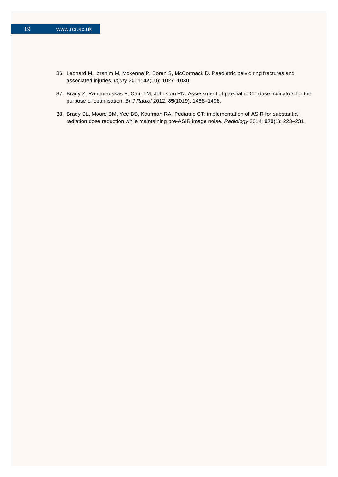- 36. Leonard M, Ibrahim M, Mckenna P, Boran S, McCormack D. Paediatric pelvic ring fractures and associated injuries. *Injury* 2011; **42**(10): 1027–1030.
- 37. Brady Z, Ramanauskas F, Cain TM, Johnston PN. Assessment of paediatric CT dose indicators for the purpose of optimisation. *Br J Radiol* 2012; **85**(1019): 1488–1498.
- 38. Brady SL, Moore BM, Yee BS, Kaufman RA. Pediatric CT: implementation of ASIR for substantial radiation dose reduction while maintaining pre-ASIR image noise. *Radiology* 2014; **270**(1): 223–231.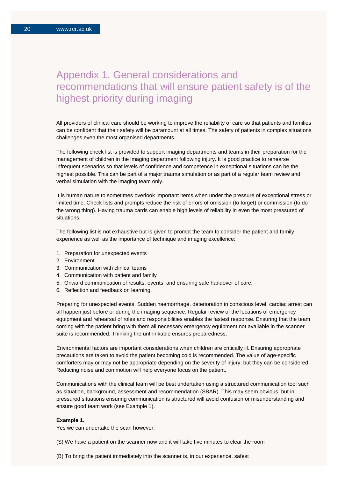### Appendix 1. General considerations and recommendations that will ensure patient safety is of the highest priority during imaging

All providers of clinical care should be working to improve the reliability of care so that patients and families can be confident that their safety will be paramount at all times. The safety of patients in complex situations challenges even the most organised departments.

The following check list is provided to support imaging departments and teams in their preparation for the management of children in the imaging department following injury. It is good practice to rehearse infrequent scenarios so that levels of confidence and competence in exceptional situations can be the highest possible. This can be part of a major trauma simulation or as part of a regular team review and verbal simulation with the imaging team only.

It is human nature to sometimes overlook important items when under the pressure of exceptional stress or limited time. Check lists and prompts reduce the risk of errors of omission (to forget) or commission (to do the wrong thing). Having trauma cards can enable high levels of reliability in even the most pressured of situations.

The following list is not exhaustive but is given to prompt the team to consider the patient and family experience as well as the importance of technique and imaging excellence:

- 1. Preparation for unexpected events
- 2. Environment
- 3. Communication with clinical teams
- 4. Communication with patient and family
- 5. Onward communication of results, events, and ensuring safe handover of care.
- 6. Reflection and feedback on learning.

Preparing for unexpected events. Sudden haemorrhage, deterioration in conscious level, cardiac arrest can all happen just before or during the imaging sequence. Regular review of the locations of emergency equipment and rehearsal of roles and responsibilities enables the fastest response. Ensuring that the team coming with the patient bring with them all necessary emergency equipment not available in the scanner suite is recommended. Thinking the unthinkable ensures preparedness.

Environmental factors are important considerations when children are critically ill. Ensuring appropriate precautions are taken to avoid the patient becoming cold is recommended. The value of age-specific comforters may or may not be appropriate depending on the severity of injury, but they can be considered. Reducing noise and commotion will help everyone focus on the patient.

Communications with the clinical team will be best undertaken using a structured communication tool such as situation, background, assessment and recommendation (SBAR). This may seem obvious, but in pressured situations ensuring communication is structured will avoid confusion or misunderstanding and ensure good team work (see Example 1).

#### **Example 1.**

Yes we can undertake the scan however:

(S) We have a patient on the scanner now and it will take five minutes to clear the room

(B) To bring the patient immediately into the scanner is, in our experience, safest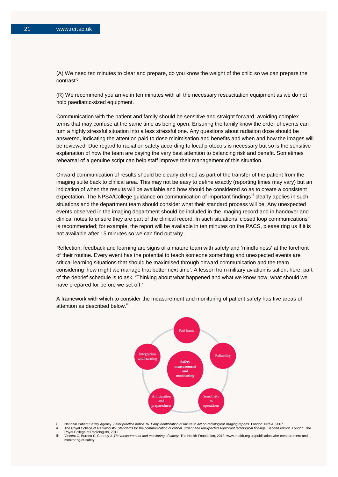(A) We need ten minutes to clear and prepare, do you know the weight of the child so we can prepare the contrast?

(R) We recommend you arrive in ten minutes with all the necessary resuscitation equipment as we do not hold paediatric-sized equipment.

Communication with the patient and family should be sensitive and straight forward, avoiding complex terms that may confuse at the same time as being open. Ensuring the family know the order of events can turn a highly stressful situation into a less stressful one. Any questions about radiation dose should be answered, indicating the attention paid to dose minimisation and benefits and when and how the images will be reviewed. Due regard to radiation safety according to local protocols is necessary but so is the sensitive explanation of how the team are paying the very best attention to balancing risk and benefit. Sometimes rehearsal of a genuine script can help staff improve their management of this situation.

Onward communication of results should be clearly defined as part of the transfer of the patient from the imaging suite back to clinical area. This may not be easy to define exactly (reporting times may vary) but an indication of when the results will be available and how should be considered so as to create a consistent expectation. The NPSA/College guidance on communication of important findings<sup>i, if</sup> clearly applies in such situations and the department team should consider what their standard process will be. Any unexpected events observed in the imaging department should be included in the imaging record and in handover and clinical notes to ensure they are part of the clinical record. In such situations 'closed loop communications' is recommended; for example, the report will be available in ten minutes on the PACS, please ring us if it is not available after 15 minutes so we can find out why.

Reflection, feedback and learning are signs of a mature team with safety and 'mindfulness' at the forefront of their routine. Every event has the potential to teach someone something and unexpected events are critical learning situations that should be maximised through onward communication and the team considering 'how might we manage that better next time'. A lesson from military aviation is salient here, part of the debrief schedule is to ask, 'Thinking about what happened and what we know now, what should we have prepared for before we set off.'

A framework with which to consider the measurement and monitoring of patient safety has five areas of attention as described below.<sup>iii</sup>



i. National Patient Safety Agency. *Safer practice notice 16. Early identification of failure to act on radiological imaging reports*. London: NPSA, 2007.

ii. The Royal College of Radiologists. *Standards for the communication of critical, urgent and unexpected significant radiological findings*, Second edition. London: The Royal College of Radiologists, 2012. iii. Vincent C, Burnett S, Carthey J. *The measurement and monitoring of safety*. The Health Foundation, 2013. www.health.org.uk/publications/the-measurement-andmonitoring-of-safety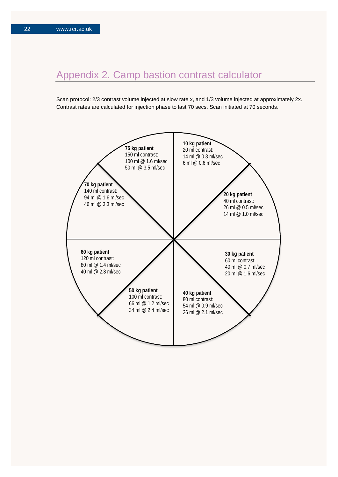# Appendix 2. Camp bastion contrast calculator

Scan protocol: 2/3 contrast volume injected at slow rate x, and 1/3 volume injected at approximately 2x. Contrast rates are calculated for injection phase to last 70 secs. Scan initiated at 70 seconds.

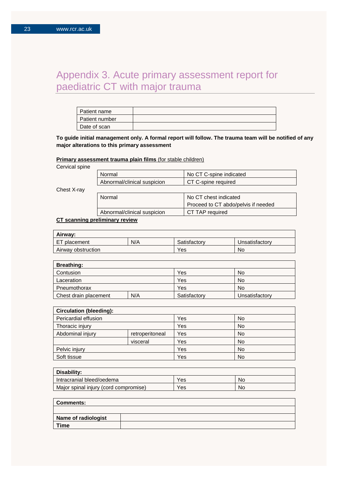### Appendix 3. Acute primary assessment report for paediatric CT with major trauma

| Patient name   |  |
|----------------|--|
| Patient number |  |
| Date of scan   |  |

**To guide initial management only. A formal report will follow. The trauma team will be notified of any major alterations to this primary assessment**

#### **Primary assessment trauma plain films** (for stable children)

Cervical spine

| Normal                      | No CT C-spine indicated |
|-----------------------------|-------------------------|
| Abnormal/clinical suspicion | CT C-spine required     |

Chest X-ray

| Normal                      | No CT chest indicated               |  |  |  |  |
|-----------------------------|-------------------------------------|--|--|--|--|
|                             | Proceed to CT abdo/pelvis if needed |  |  |  |  |
| Abnormal/clinical suspicion | CT TAP required                     |  |  |  |  |
|                             |                                     |  |  |  |  |

### **CT scanning preliminary review**

| Airway:            |     |              |                |  |  |  |
|--------------------|-----|--------------|----------------|--|--|--|
| ET placement       | N/A | Satisfactory | Unsatisfactorv |  |  |  |
| Airway obstruction |     | Yes          | No             |  |  |  |

| <b>Breathing:</b>     |     |              |                |
|-----------------------|-----|--------------|----------------|
| Contusion             |     | Yes          | <b>No</b>      |
| Laceration            |     | Yes          | <b>No</b>      |
| Pneumothorax          |     | Yes          | <b>No</b>      |
| Chest drain placement | N/A | Satisfactory | Unsatisfactory |

| <b>Circulation (bleeding):</b> |                 |     |    |  |  |
|--------------------------------|-----------------|-----|----|--|--|
| Pericardial effusion           |                 | Yes | No |  |  |
| Thoracic injury                |                 | Yes | No |  |  |
| Abdominal injury               | retroperitoneal | Yes | No |  |  |
|                                | visceral        | Yes | No |  |  |
| Pelvic injury                  |                 | Yes | No |  |  |
| Soft tissue                    |                 | Yes | No |  |  |

| Disability:                           |     |    |  |  |  |  |
|---------------------------------------|-----|----|--|--|--|--|
| Intracranial bleed/oedema             | Yes | No |  |  |  |  |
| Major spinal injury (cord compromise) | Yes | No |  |  |  |  |

| <b>Comments:</b>    |  |
|---------------------|--|
|                     |  |
| Name of radiologist |  |
| Time                |  |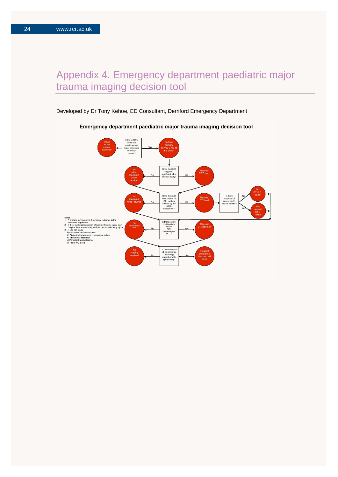### Appendix 4. Emergency department paediatric major trauma imaging decision tool

Developed by Dr Tony Kehoe, ED Consultant, Derriford Emergency Department



#### Emergency department paediatric major trauma imaging decision tool